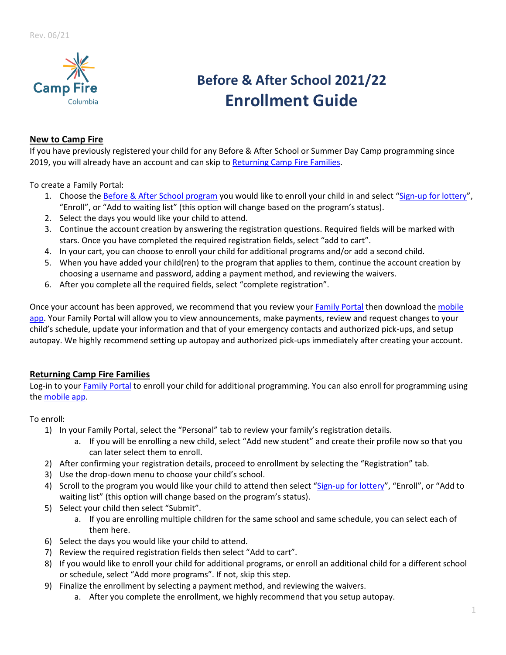

# **Before & After School 2021/22 Enrollment Guide**

# **New to Camp Fire**

If you have previously registered your child for any Before & After School or Summer Day Camp programming since 2019, you will already have an account and can skip to [Returning Camp Fire Families.](#page-0-0)

To create a Family Portal:

- 1. [Choose the](https://schoolcareworks.com/registration/campFireColumbia/start_registration.jsp#category376) [Before & After School program](https://schoolcareworks.com/registration/campFireColumbia/start_registration.jsp) you would like to enroll your child in and select "[Sign-up for lottery](#page-1-0)", "Enroll", or "Add to waiting list" (this option will change based on the program's status).
- 2. Select the days you would like your child to attend.
- 3. Continue the account creation by answering the registration questions. Required fields will be marked with stars. Once you have completed the required registration fields, select "add to cart".
- 4. In your cart, you can choose to enroll your child for additional programs and/or add a second child.
- 5. When you have added your child(ren) to the program that applies to them, continue the account creation by choosing a username and password, adding a payment method, and reviewing the waivers.
- 6. After you complete all the required fields, select "complete registration".

Once your account has been approved, we recommend that you review you[r Family Portal](https://connect.schoolcareworks.com/login.jsp) then download the [mobile](#page-1-0)  [app.](#page-1-0) Your Family Portal will allow you to view announcements, make payments, review and request changes to your child's schedule, update your information and that of your emergency contacts and authorized pick-ups, and setup autopay. We highly recommend setting up autopay and authorized pick-ups immediately after creating your account.

## <span id="page-0-0"></span>**Returning Camp Fire Families**

Log-in to you[r Family Portal](https://connect.schoolcareworks.com/login.jsp) to enroll your child for additional programming. You can also enroll for programming using the [mobile app.](#page-1-0)

To enroll:

- 1) In your [Family Portal](https://connect.schoolcareworks.com/login.jsp), select the "Personal" tab to review your family's registration details.
	- a. If you will be enrolling a new child, select "Add new student" and create their profile now so that you can later select them to enroll.
- 2) After confirming your registration details, proceed to enrollment by selecting the "Registration" tab.
- 3) Use the drop-down menu to choose your child's school.
- 4) Scroll to the program you would like your child to attend then select "[Sign-up for lottery](#page-1-0)", "Enroll", or "Add to waiting list" (this option will change based on the program's status).
- 5) Select your child then select "Submit".
	- a. If you are enrolling multiple children for the same school and same schedule, you can select each of them here.
- 6) Select the days you would like your child to attend.
- 7) Review the required registration fields then select "Add to cart".
- 8) If you would like to enroll your child for additional programs, or enroll an additional child for a different school or schedule, select "Add more programs". If not, skip this step.
- 9) Finalize the enrollment by selecting a payment method, and reviewing the waivers.
	- a. After you complete the enrollment, we highly recommend that you setup autopay.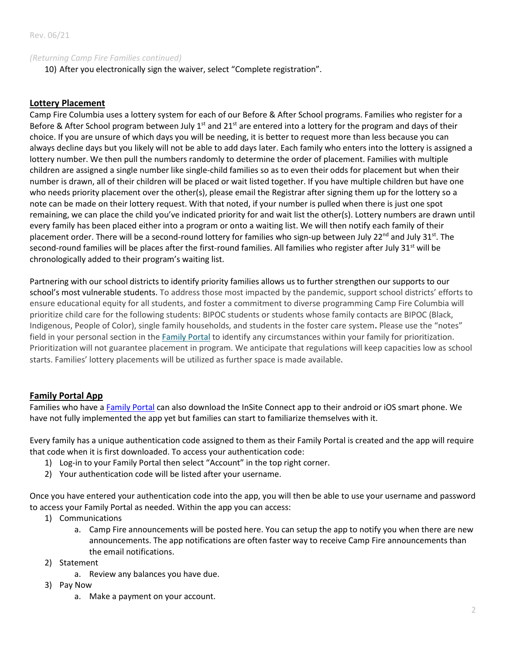#### *(Returning Camp Fire Families continued)*

10) After you electronically sign the waiver, select "Complete registration".

#### <span id="page-1-0"></span>**Lottery Placement**

Camp Fire Columbia uses a lottery system for each of our Before & After School programs. Families who register for a Before & After School program between July  $1^{st}$  and  $21^{st}$  are entered into a lottery for the program and days of their choice. If you are unsure of which days you will be needing, it is better to request more than less because you can always decline days but you likely will not be able to add days later. Each family who enters into the lottery is assigned a lottery number. We then pull the numbers randomly to determine the order of placement. Families with multiple children are assigned a single number like single-child families so as to even their odds for placement but when their number is drawn, all of their children will be placed or wait listed together. If you have multiple children but have one who needs priority placement over the other(s), please email the Registrar after signing them up for the lottery so a note can be made on their lottery request. With that noted, if your number is pulled when there is just one spot remaining, we can place the child you've indicated priority for and wait list the other(s). Lottery numbers are drawn until every family has been placed either into a program or onto a waiting list. We will then notify each family of their placement order. There will be a second-round lottery for families who sign-up between July 22<sup>nd</sup> and July 31st. The second-round families will be places after the first-round families. All families who register after July  $31<sup>st</sup>$  will be chronologically added to their program's waiting list.

Partnering with our school districts to identify priority families allows us to further strengthen our supports to our school's most vulnerable students. To address those most impacted by the pandemic, support school districts' efforts to ensure educational equity for all students, and foster a commitment to diverse programming Camp Fire Columbia will prioritize child care for the following students: BIPOC students or students whose family contacts are BIPOC (Black, Indigenous, People of Color), single family households, and students in the foster care system**.** Please use the "notes" field in your personal section in the [Family Portal](https://t.e2ma.net/click/eohkwf/6tcm0p/e8kgrn) to identify any circumstances within your family for prioritization. Prioritization will not guarantee placement in program. We anticipate that regulations will keep capacities low as school starts. Families' lottery placements will be utilized as further space is made available.

## **Family Portal App**

Families who have [a Family Portal](https://connect.schoolcareworks.com/family.do) can also download the InSite Connect app to their android or iOS smart phone. We have not fully implemented the app yet but families can start to familiarize themselves with it.

Every family has a unique authentication code assigned to them as their Family Portal is created and the app will require that code when it is first downloaded. To access your authentication code:

- 1) Log-in to your Family Portal then select "Account" in the top right corner.
- 2) Your authentication code will be listed after your username.

Once you have entered your authentication code into the app, you will then be able to use your username and password to access your Family Portal as needed. Within the app you can access:

- 1) Communications
	- a. Camp Fire announcements will be posted here. You can setup the app to notify you when there are new announcements. The app notifications are often faster way to receive Camp Fire announcements than the email notifications.
- 2) Statement
	- a. Review any balances you have due.
- 3) Pay Now
	- a. Make a payment on your account.